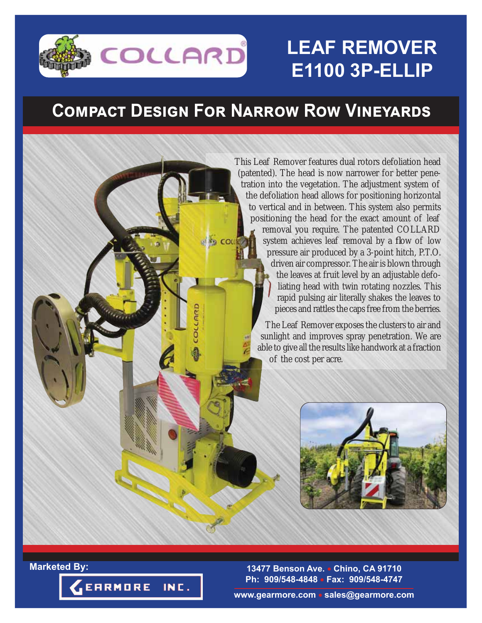

# **LEAF REMOVER E1100 3P-ELLIP**

## $\overline{COMPACT}$  DESIGN FOR NARROW ROW VINEYARDS

COLI

This Leaf Remover features dual rotors defoliation head (patented). The head is now narrower for better penetration into the vegetation. The adjustment system of the defoliation head allows for positioning horizontal to vertical and in between. This system also permits positioning the head for the exact amount of leaf removal you require. The patented COLLARD system achieves leaf removal by a flow of low pressure air produced by a 3-point hitch, P.T.O. driven air compressor. The air is blown through the leaves at fruit level by an adjustable defoliating head with twin rotating nozzles. This rapid pulsing air literally shakes the leaves to pieces and rattles the caps free from the berries.

> The Leaf Remover exposes the clusters to air and sunlight and improves spray penetration. We are able to give all the results like handwork at a fraction of the cost per acre.



**13477 Benson Ave. Chino, CA 91710 Ph: 909/548-4848 Fax: 909/548-4747**



**Marketed By:**

**www.gearmore.com sales@gearmore.com**